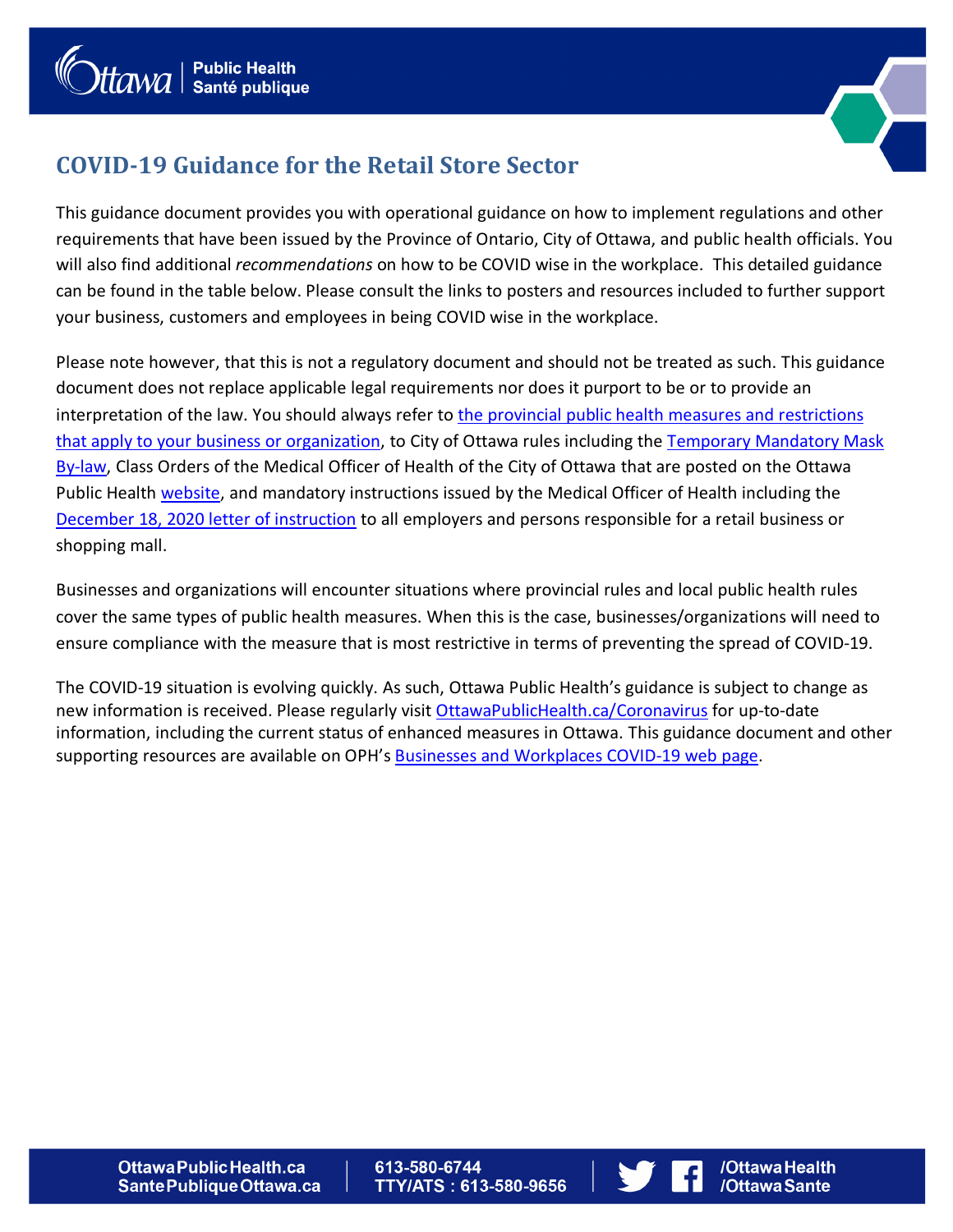

/Ottawa Health

/OttawaSante

## **COVID-19 Guidance for the Retail Store Sector**

This guidance document provides you with operational guidance on how to implement regulations and other requirements that have been issued by the Province of Ontario, City of Ottawa, and public health officials. You will also find additional *recommendations* on how to be COVID wise in the workplace. This detailed guidance can be found in the table below. Please consult the links to posters and resources included to further support your business, customers and employees in being COVID wise in the workplace.

Please note however, that this is not a regulatory document and should not be treated as such. This guidance document does not replace applicable legal requirements nor does it purport to be or to provide an interpretation of the law. You should always refer to [the provincial public health measures and restrictions](https://covid-19.ontario.ca/zones-and-restrictions)  [that apply to your business or organization,](https://covid-19.ontario.ca/zones-and-restrictions) to City of Ottawa rules including the [Temporary Mandatory Mask](https://ottawa.ca/en/health-and-public-safety/covid-19-ottawa/wearing-mask#temporary-mandatory-mask-law)  [By-law,](https://ottawa.ca/en/health-and-public-safety/covid-19-ottawa/wearing-mask#temporary-mandatory-mask-law) Class Orders of the Medical Officer of Health of the City of Ottawa that are posted on the Ottawa Public Health [website,](https://www.ottawapublichealth.ca/Coronavirus) and mandatory instructions issued by the Medical Officer of Health including the [December 18, 2020 letter of instruction](https://www.ottawapublichealth.ca/en/public-health-topics/resources/Documents/LOI-FINAL-EN.pdf) to all employers and persons responsible for a retail business or shopping mall.

Businesses and organizations will encounter situations where provincial rules and local public health rules cover the same types of public health measures. When this is the case, businesses/organizations will need to ensure compliance with the measure that is most restrictive in terms of preventing the spread of COVID-19.

The COVID-19 situation is evolving quickly. As such, Ottawa Public Health's guidance is subject to change as new information is received. Please regularly visit [OttawaPublicHealth.ca/Coronavirus](https://www.ottawapublichealth.ca/en/public-health-topics/novel-coronavirus.aspx?utm_source=OPH&utm_medium=Home_Page_Banner&utm_campaign=Coronavirus&utm_content=Home_Page_Banner_OPH) for up-to-date information, including the current status of enhanced measures in Ottawa. This guidance document and other supporting resources are available on OPH'[s Businesses and Workplaces COVID-19 web page.](https://www.ottawapublichealth.ca/en/public-health-topics/covid-19-information-for-workplaces.aspx)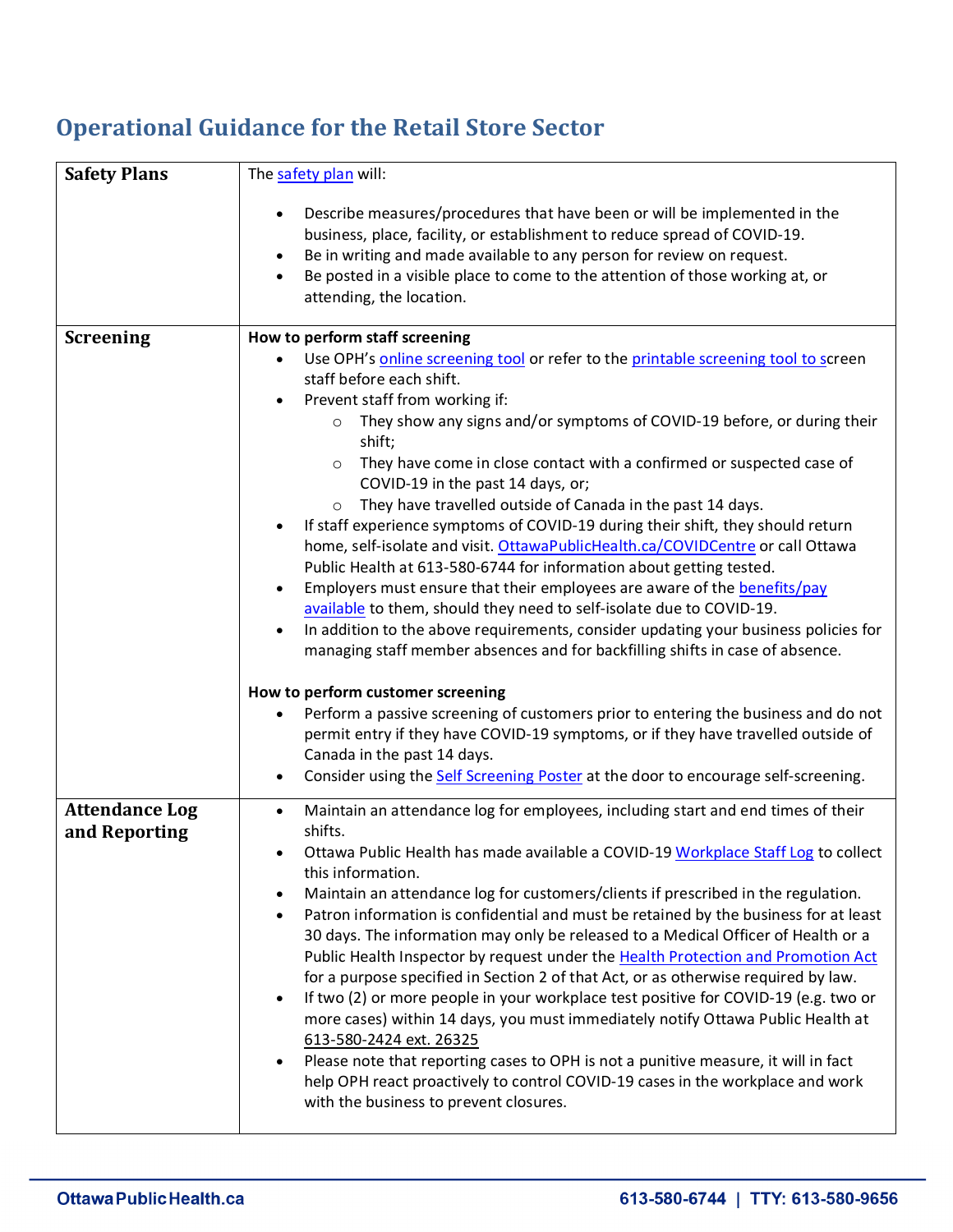## **Operational Guidance for the Retail Store Sector**

| <b>Safety Plans</b>                    | The safety plan will:                                                                                                                                                                                                                                                                                                                                                                                                                                                                                                                                                                                                                                                                                                                                                                                                                                                                                                                                                                                                                                                                 |
|----------------------------------------|---------------------------------------------------------------------------------------------------------------------------------------------------------------------------------------------------------------------------------------------------------------------------------------------------------------------------------------------------------------------------------------------------------------------------------------------------------------------------------------------------------------------------------------------------------------------------------------------------------------------------------------------------------------------------------------------------------------------------------------------------------------------------------------------------------------------------------------------------------------------------------------------------------------------------------------------------------------------------------------------------------------------------------------------------------------------------------------|
|                                        | Describe measures/procedures that have been or will be implemented in the<br>business, place, facility, or establishment to reduce spread of COVID-19.<br>Be in writing and made available to any person for review on request.<br>Be posted in a visible place to come to the attention of those working at, or<br>$\bullet$<br>attending, the location.                                                                                                                                                                                                                                                                                                                                                                                                                                                                                                                                                                                                                                                                                                                             |
| <b>Screening</b>                       | How to perform staff screening<br>Use OPH's online screening tool or refer to the printable screening tool to screen<br>staff before each shift.<br>Prevent staff from working if:<br>They show any signs and/or symptoms of COVID-19 before, or during their<br>$\circ$<br>shift;<br>They have come in close contact with a confirmed or suspected case of<br>$\circ$<br>COVID-19 in the past 14 days, or;<br>They have travelled outside of Canada in the past 14 days.<br>$\circ$<br>If staff experience symptoms of COVID-19 during their shift, they should return<br>home, self-isolate and visit. OttawaPublicHealth.ca/COVIDCentre or call Ottawa<br>Public Health at 613-580-6744 for information about getting tested.<br>Employers must ensure that their employees are aware of the benefits/pay<br>available to them, should they need to self-isolate due to COVID-19.<br>In addition to the above requirements, consider updating your business policies for<br>$\bullet$<br>managing staff member absences and for backfilling shifts in case of absence.             |
|                                        | How to perform customer screening<br>Perform a passive screening of customers prior to entering the business and do not<br>permit entry if they have COVID-19 symptoms, or if they have travelled outside of<br>Canada in the past 14 days.<br>Consider using the Self Screening Poster at the door to encourage self-screening.                                                                                                                                                                                                                                                                                                                                                                                                                                                                                                                                                                                                                                                                                                                                                      |
| <b>Attendance Log</b><br>and Reporting | Maintain an attendance log for employees, including start and end times of their<br>shifts.<br>Ottawa Public Health has made available a COVID-19 Workplace Staff Log to collect<br>this information.<br>Maintain an attendance log for customers/clients if prescribed in the regulation.<br>Patron information is confidential and must be retained by the business for at least<br>$\bullet$<br>30 days. The information may only be released to a Medical Officer of Health or a<br>Public Health Inspector by request under the Health Protection and Promotion Act<br>for a purpose specified in Section 2 of that Act, or as otherwise required by law.<br>If two (2) or more people in your workplace test positive for COVID-19 (e.g. two or<br>more cases) within 14 days, you must immediately notify Ottawa Public Health at<br>613-580-2424 ext. 26325<br>Please note that reporting cases to OPH is not a punitive measure, it will in fact<br>help OPH react proactively to control COVID-19 cases in the workplace and work<br>with the business to prevent closures. |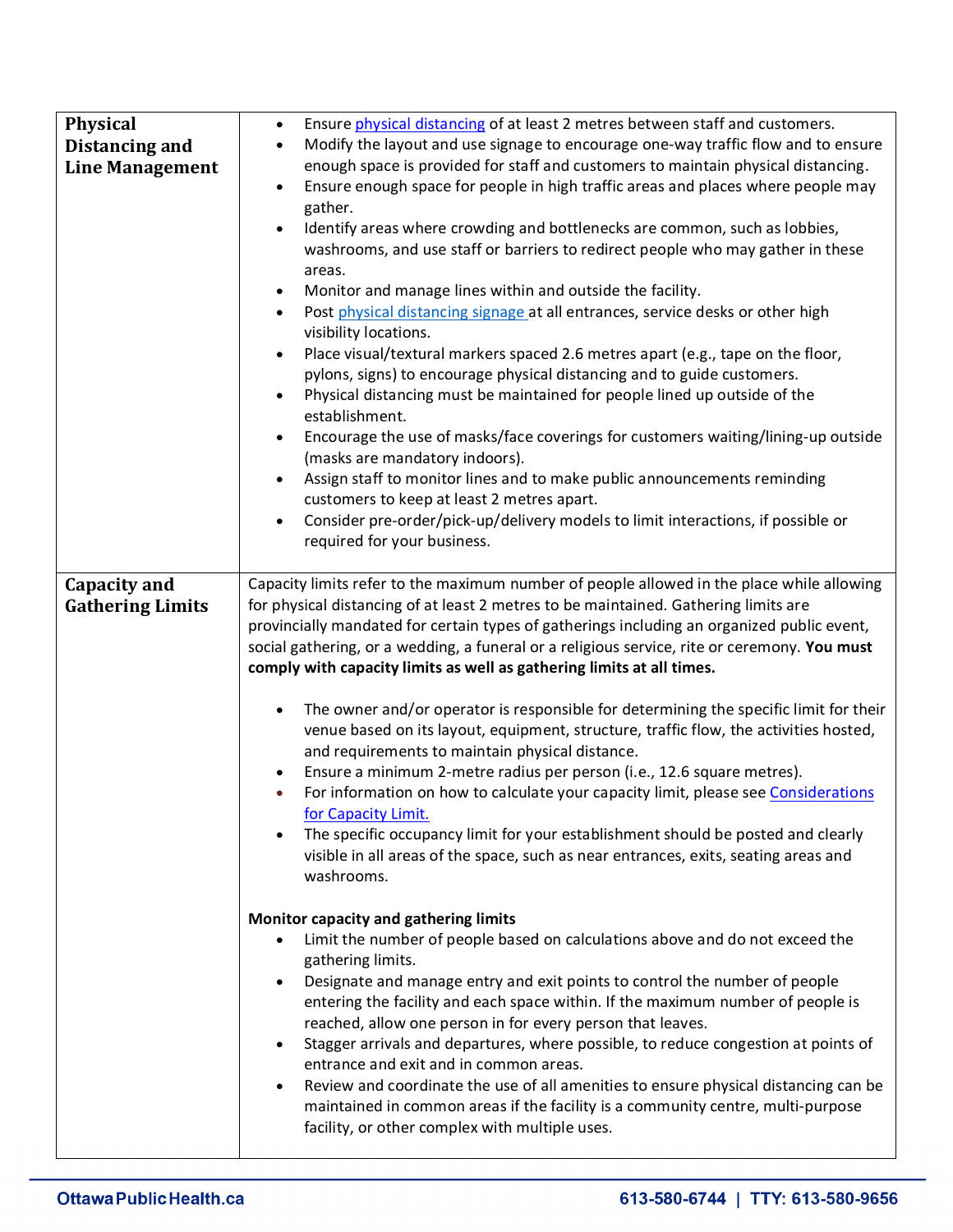| <b>Physical</b><br><b>Distancing and</b><br><b>Line Management</b> | Ensure physical distancing of at least 2 metres between staff and customers.<br>$\bullet$<br>Modify the layout and use signage to encourage one-way traffic flow and to ensure<br>$\bullet$<br>enough space is provided for staff and customers to maintain physical distancing.<br>Ensure enough space for people in high traffic areas and places where people may<br>gather.<br>Identify areas where crowding and bottlenecks are common, such as lobbies,<br>washrooms, and use staff or barriers to redirect people who may gather in these<br>areas.<br>Monitor and manage lines within and outside the facility.<br>$\bullet$<br>Post physical distancing signage at all entrances, service desks or other high<br>$\bullet$<br>visibility locations.<br>Place visual/textural markers spaced 2.6 metres apart (e.g., tape on the floor,<br>$\bullet$<br>pylons, signs) to encourage physical distancing and to guide customers.<br>Physical distancing must be maintained for people lined up outside of the<br>$\bullet$<br>establishment.<br>Encourage the use of masks/face coverings for customers waiting/lining-up outside<br>$\bullet$<br>(masks are mandatory indoors).<br>Assign staff to monitor lines and to make public announcements reminding<br>$\bullet$<br>customers to keep at least 2 metres apart.<br>Consider pre-order/pick-up/delivery models to limit interactions, if possible or<br>required for your business. |
|--------------------------------------------------------------------|---------------------------------------------------------------------------------------------------------------------------------------------------------------------------------------------------------------------------------------------------------------------------------------------------------------------------------------------------------------------------------------------------------------------------------------------------------------------------------------------------------------------------------------------------------------------------------------------------------------------------------------------------------------------------------------------------------------------------------------------------------------------------------------------------------------------------------------------------------------------------------------------------------------------------------------------------------------------------------------------------------------------------------------------------------------------------------------------------------------------------------------------------------------------------------------------------------------------------------------------------------------------------------------------------------------------------------------------------------------------------------------------------------------------------------------------------|
| <b>Capacity and</b><br><b>Gathering Limits</b>                     | Capacity limits refer to the maximum number of people allowed in the place while allowing<br>for physical distancing of at least 2 metres to be maintained. Gathering limits are<br>provincially mandated for certain types of gatherings including an organized public event,                                                                                                                                                                                                                                                                                                                                                                                                                                                                                                                                                                                                                                                                                                                                                                                                                                                                                                                                                                                                                                                                                                                                                                    |
|                                                                    | social gathering, or a wedding, a funeral or a religious service, rite or ceremony. You must<br>comply with capacity limits as well as gathering limits at all times.                                                                                                                                                                                                                                                                                                                                                                                                                                                                                                                                                                                                                                                                                                                                                                                                                                                                                                                                                                                                                                                                                                                                                                                                                                                                             |
|                                                                    | The owner and/or operator is responsible for determining the specific limit for their<br>venue based on its layout, equipment, structure, traffic flow, the activities hosted,<br>and requirements to maintain physical distance.                                                                                                                                                                                                                                                                                                                                                                                                                                                                                                                                                                                                                                                                                                                                                                                                                                                                                                                                                                                                                                                                                                                                                                                                                 |
|                                                                    | Ensure a minimum 2-metre radius per person (i.e., 12.6 square metres).<br>For information on how to calculate your capacity limit, please see Considerations<br>$\bullet$<br>for Capacity Limit.                                                                                                                                                                                                                                                                                                                                                                                                                                                                                                                                                                                                                                                                                                                                                                                                                                                                                                                                                                                                                                                                                                                                                                                                                                                  |
|                                                                    | The specific occupancy limit for your establishment should be posted and clearly<br>visible in all areas of the space, such as near entrances, exits, seating areas and<br>washrooms.                                                                                                                                                                                                                                                                                                                                                                                                                                                                                                                                                                                                                                                                                                                                                                                                                                                                                                                                                                                                                                                                                                                                                                                                                                                             |
|                                                                    | Monitor capacity and gathering limits<br>Limit the number of people based on calculations above and do not exceed the<br>$\bullet$                                                                                                                                                                                                                                                                                                                                                                                                                                                                                                                                                                                                                                                                                                                                                                                                                                                                                                                                                                                                                                                                                                                                                                                                                                                                                                                |
|                                                                    | gathering limits.<br>Designate and manage entry and exit points to control the number of people<br>$\bullet$<br>entering the facility and each space within. If the maximum number of people is<br>reached, allow one person in for every person that leaves.<br>Stagger arrivals and departures, where possible, to reduce congestion at points of<br>$\bullet$<br>entrance and exit and in common areas.<br>Review and coordinate the use of all amenities to ensure physical distancing can be<br>$\bullet$<br>maintained in common areas if the facility is a community centre, multi-purpose<br>facility, or other complex with multiple uses.                                                                                                                                                                                                                                                                                                                                                                                                                                                                                                                                                                                                                                                                                                                                                                                               |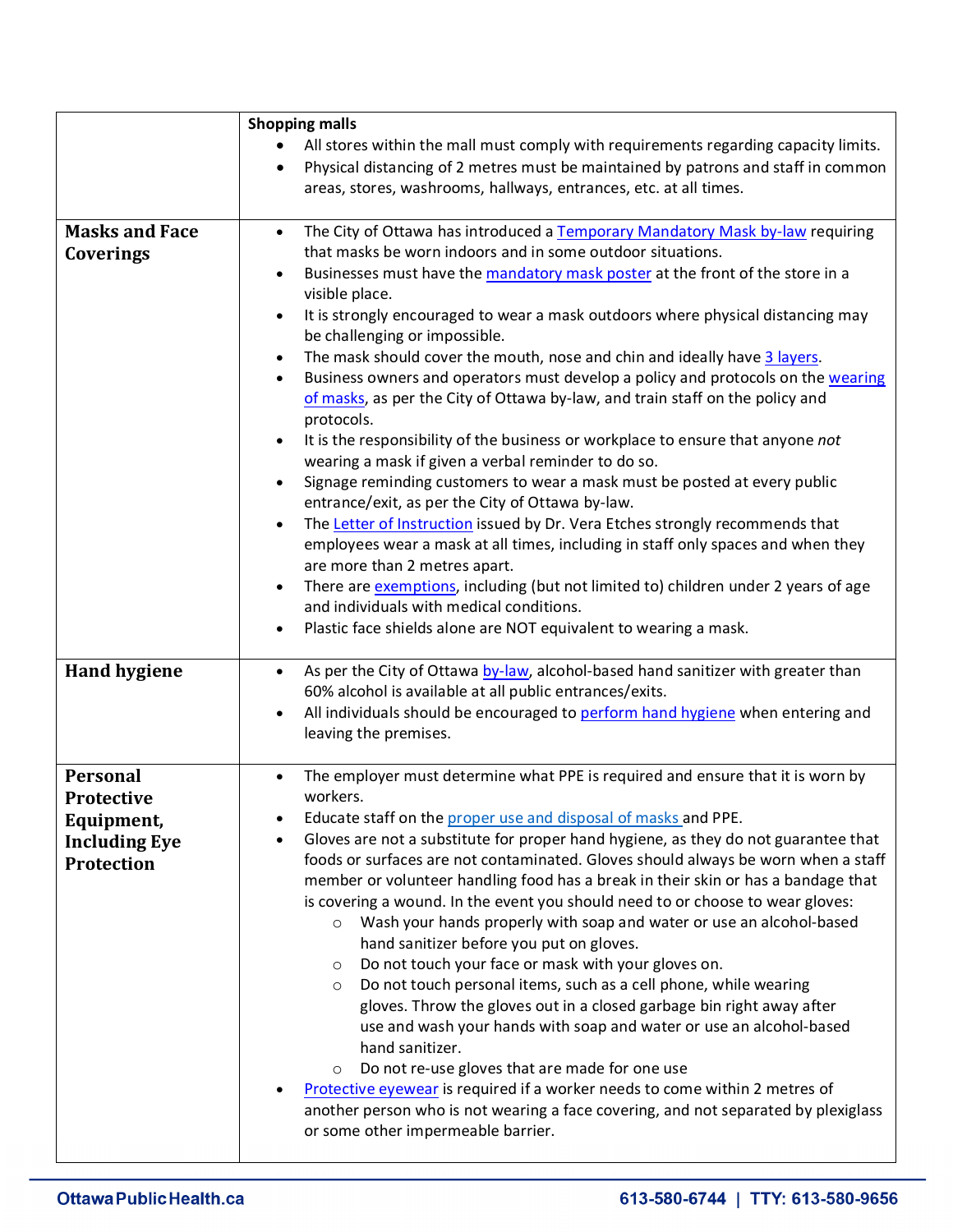|                                                                                          | <b>Shopping malls</b><br>All stores within the mall must comply with requirements regarding capacity limits.<br>Physical distancing of 2 metres must be maintained by patrons and staff in common<br>areas, stores, washrooms, hallways, entrances, etc. at all times.                                                                                                                                                                                                                                                                                                                                                                                                                                                                                                                                                                                                                                                                                                                                                                                                                                                                                                                                                                                                                                                                                                       |
|------------------------------------------------------------------------------------------|------------------------------------------------------------------------------------------------------------------------------------------------------------------------------------------------------------------------------------------------------------------------------------------------------------------------------------------------------------------------------------------------------------------------------------------------------------------------------------------------------------------------------------------------------------------------------------------------------------------------------------------------------------------------------------------------------------------------------------------------------------------------------------------------------------------------------------------------------------------------------------------------------------------------------------------------------------------------------------------------------------------------------------------------------------------------------------------------------------------------------------------------------------------------------------------------------------------------------------------------------------------------------------------------------------------------------------------------------------------------------|
| <b>Masks and Face</b><br>Coverings                                                       | The City of Ottawa has introduced a Temporary Mandatory Mask by-law requiring<br>$\bullet$<br>that masks be worn indoors and in some outdoor situations.<br>Businesses must have the mandatory mask poster at the front of the store in a<br>visible place.<br>It is strongly encouraged to wear a mask outdoors where physical distancing may<br>be challenging or impossible.<br>The mask should cover the mouth, nose and chin and ideally have 3 layers.<br>Business owners and operators must develop a policy and protocols on the wearing<br>$\bullet$<br>of masks, as per the City of Ottawa by-law, and train staff on the policy and<br>protocols.<br>It is the responsibility of the business or workplace to ensure that anyone not<br>$\bullet$<br>wearing a mask if given a verbal reminder to do so.<br>Signage reminding customers to wear a mask must be posted at every public<br>entrance/exit, as per the City of Ottawa by-law.<br>The Letter of Instruction issued by Dr. Vera Etches strongly recommends that<br>employees wear a mask at all times, including in staff only spaces and when they<br>are more than 2 metres apart.<br>There are exemptions, including (but not limited to) children under 2 years of age<br>and individuals with medical conditions.<br>Plastic face shields alone are NOT equivalent to wearing a mask.<br>$\bullet$ |
| <b>Hand hygiene</b>                                                                      | As per the City of Ottawa by-law, alcohol-based hand sanitizer with greater than<br>$\bullet$<br>60% alcohol is available at all public entrances/exits.<br>All individuals should be encouraged to perform hand hygiene when entering and<br>leaving the premises.                                                                                                                                                                                                                                                                                                                                                                                                                                                                                                                                                                                                                                                                                                                                                                                                                                                                                                                                                                                                                                                                                                          |
| <b>Personal</b><br>Protective<br>Equipment,<br><b>Including Eye</b><br><b>Protection</b> | The employer must determine what PPE is required and ensure that it is worn by<br>workers.<br>Educate staff on the proper use and disposal of masks and PPE.<br>Gloves are not a substitute for proper hand hygiene, as they do not guarantee that<br>foods or surfaces are not contaminated. Gloves should always be worn when a staff<br>member or volunteer handling food has a break in their skin or has a bandage that<br>is covering a wound. In the event you should need to or choose to wear gloves:<br>Wash your hands properly with soap and water or use an alcohol-based<br>$\circ$<br>hand sanitizer before you put on gloves.<br>Do not touch your face or mask with your gloves on.<br>$\circ$<br>Do not touch personal items, such as a cell phone, while wearing<br>$\circ$<br>gloves. Throw the gloves out in a closed garbage bin right away after<br>use and wash your hands with soap and water or use an alcohol-based<br>hand sanitizer.<br>Do not re-use gloves that are made for one use<br>$\circ$<br>Protective eyewear is required if a worker needs to come within 2 metres of<br>another person who is not wearing a face covering, and not separated by plexiglass<br>or some other impermeable barrier.                                                                                                                                    |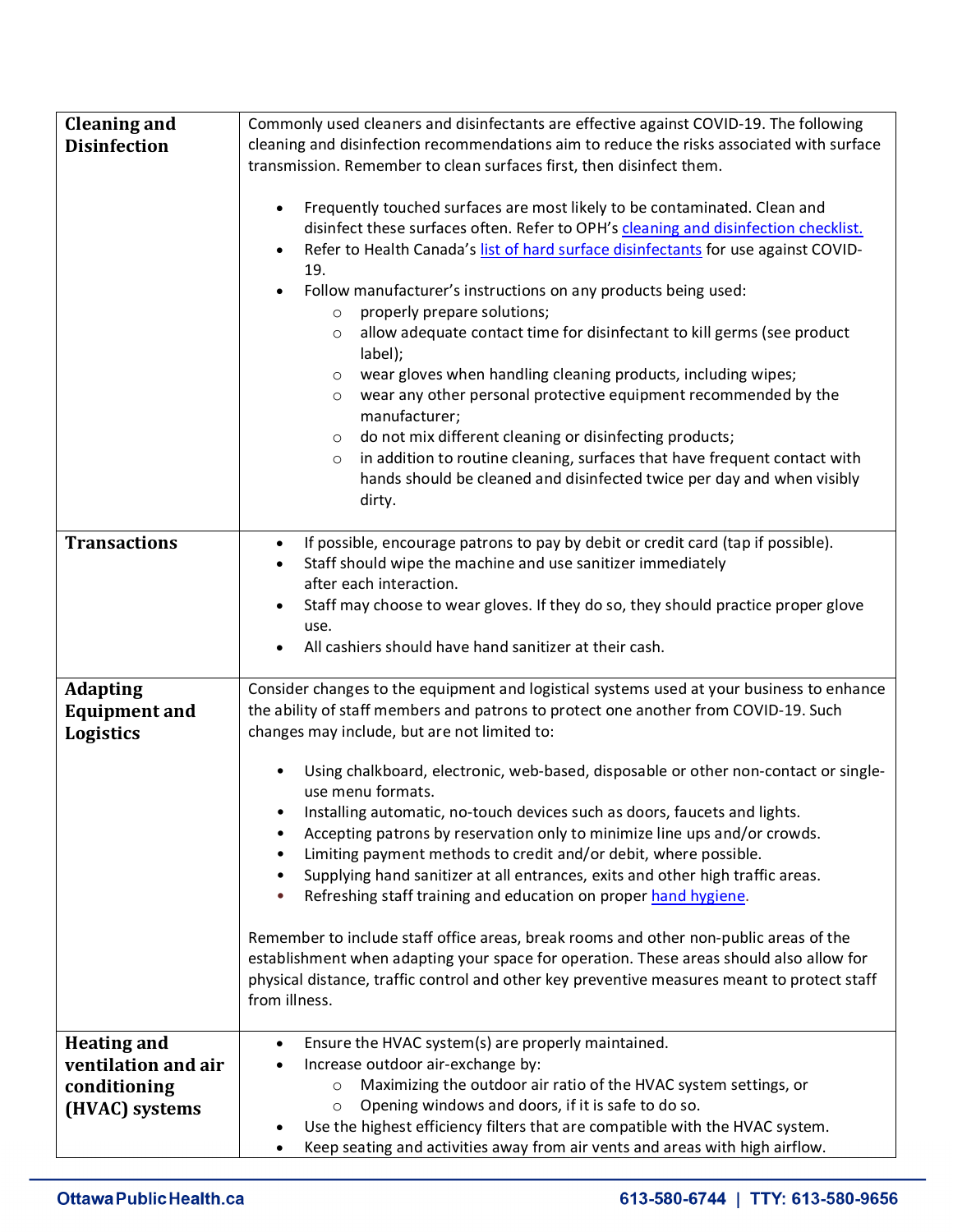| <b>Cleaning and</b><br><b>Disinfection</b>                                  | Commonly used cleaners and disinfectants are effective against COVID-19. The following<br>cleaning and disinfection recommendations aim to reduce the risks associated with surface<br>transmission. Remember to clean surfaces first, then disinfect them.<br>Frequently touched surfaces are most likely to be contaminated. Clean and<br>disinfect these surfaces often. Refer to OPH's cleaning and disinfection checklist.<br>Refer to Health Canada's list of hard surface disinfectants for use against COVID-<br>19.<br>Follow manufacturer's instructions on any products being used:<br>properly prepare solutions;<br>$\circ$<br>allow adequate contact time for disinfectant to kill germs (see product<br>$\circ$<br>label);<br>wear gloves when handling cleaning products, including wipes;<br>$\circ$<br>wear any other personal protective equipment recommended by the<br>$\circ$<br>manufacturer;<br>do not mix different cleaning or disinfecting products;<br>$\circ$<br>in addition to routine cleaning, surfaces that have frequent contact with<br>$\circ$<br>hands should be cleaned and disinfected twice per day and when visibly<br>dirty. |
|-----------------------------------------------------------------------------|------------------------------------------------------------------------------------------------------------------------------------------------------------------------------------------------------------------------------------------------------------------------------------------------------------------------------------------------------------------------------------------------------------------------------------------------------------------------------------------------------------------------------------------------------------------------------------------------------------------------------------------------------------------------------------------------------------------------------------------------------------------------------------------------------------------------------------------------------------------------------------------------------------------------------------------------------------------------------------------------------------------------------------------------------------------------------------------------------------------------------------------------------------------------|
| <b>Transactions</b>                                                         | If possible, encourage patrons to pay by debit or credit card (tap if possible).<br>$\bullet$<br>Staff should wipe the machine and use sanitizer immediately<br>after each interaction.<br>Staff may choose to wear gloves. If they do so, they should practice proper glove<br>use.<br>All cashiers should have hand sanitizer at their cash.                                                                                                                                                                                                                                                                                                                                                                                                                                                                                                                                                                                                                                                                                                                                                                                                                         |
| <b>Adapting</b><br><b>Equipment and</b><br>Logistics                        | Consider changes to the equipment and logistical systems used at your business to enhance<br>the ability of staff members and patrons to protect one another from COVID-19. Such<br>changes may include, but are not limited to:<br>Using chalkboard, electronic, web-based, disposable or other non-contact or single-<br>use menu formats.<br>Installing automatic, no-touch devices such as doors, faucets and lights.<br>Accepting patrons by reservation only to minimize line ups and/or crowds.<br>Limiting payment methods to credit and/or debit, where possible.<br>٠<br>Supplying hand sanitizer at all entrances, exits and other high traffic areas.<br>Refreshing staff training and education on proper hand hygiene.<br>Remember to include staff office areas, break rooms and other non-public areas of the<br>establishment when adapting your space for operation. These areas should also allow for<br>physical distance, traffic control and other key preventive measures meant to protect staff<br>from illness.                                                                                                                               |
| <b>Heating and</b><br>ventilation and air<br>conditioning<br>(HVAC) systems | Ensure the HVAC system(s) are properly maintained.<br>$\bullet$<br>Increase outdoor air-exchange by:<br>Maximizing the outdoor air ratio of the HVAC system settings, or<br>$\circ$<br>Opening windows and doors, if it is safe to do so.<br>$\circ$<br>Use the highest efficiency filters that are compatible with the HVAC system.<br>Keep seating and activities away from air vents and areas with high airflow.                                                                                                                                                                                                                                                                                                                                                                                                                                                                                                                                                                                                                                                                                                                                                   |